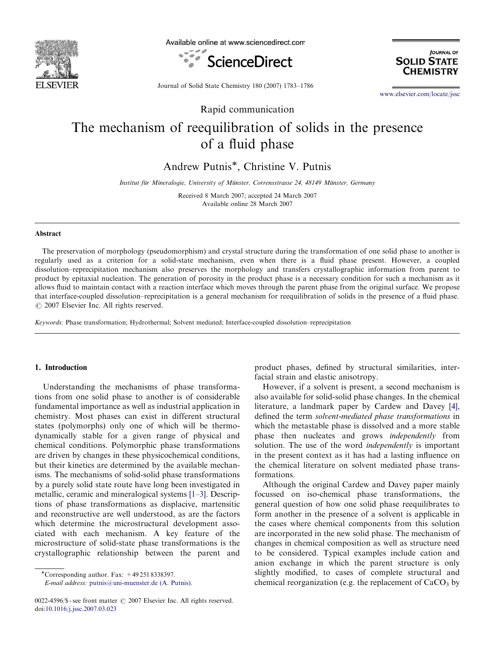

Available online at www.sciencedirect.com



**JOURNAL OF SOLID STATE CHEMISTRY** 

Journal of Solid State Chemistry 180 (2007) 1783–1786

<www.elsevier.com/locate/jssc>

Rapid communication

# The mechanism of reequilibration of solids in the presence of a fluid phase

Andrew Putnis<sup>\*</sup>, Christine V. Putnis

Institut für Mineralogie, University of Münster, Corrensstrasse 24, 48149 Münster, Germany

Received 8 March 2007; accepted 24 March 2007 Available online 28 March 2007

## Abstract

The preservation of morphology (pseudomorphism) and crystal structure during the transformation of one solid phase to another is regularly used as a criterion for a solid-state mechanism, even when there is a fluid phase present. However, a coupled dissolution–reprecipitation mechanism also preserves the morphology and transfers crystallographic information from parent to product by epitaxial nucleation. The generation of porosity in the product phase is a necessary condition for such a mechanism as it allows fluid to maintain contact with a reaction interface which moves through the parent phase from the original surface. We propose that interface-coupled dissolution–reprecipitation is a general mechanism for reequilibration of solids in the presence of a fluid phase.  $\odot$  2007 Elsevier Inc. All rights reserved.

Keywords: Phase transformation; Hydrothermal; Solvent mediated; Interface-coupled dissolution–reprecipitation

## 1. Introduction

Understanding the mechanisms of phase transformations from one solid phase to another is of considerable fundamental importance as well as industrial application in chemistry. Most phases can exist in different structural states (polymorphs) only one of which will be thermodynamically stable for a given range of physical and chemical conditions. Polymorphic phase transformations are driven by changes in these physicochemical conditions, but their kinetics are determined by the available mechanisms. The mechanisms of solid-solid phase transformations by a purely solid state route have long been investigated in metallic, ceramic and mineralogical systems [\[1–3\].](#page-3-0) Descriptions of phase transformations as displacive, martensitic and reconstructive are well understood, as are the factors which determine the microstructural development associated with each mechanism. A key feature of the microstructure of solid-state phase transformations is the crystallographic relationship between the parent and

E-mail address: [putnis@uni-muenster.de \(A. Putnis\).](mailto:putnis@uni-muenster.de)

product phases, defined by structural similarities, interfacial strain and elastic anisotropy.

However, if a solvent is present, a second mechanism is also available for solid-solid phase changes. In the chemical literature, a landmark paper by Cardew and Davey [\[4\],](#page-3-0) defined the term solvent-mediated phase transformations in which the metastable phase is dissolved and a more stable phase then nucleates and grows independently from solution. The use of the word *independently* is important in the present context as it has had a lasting influence on the chemical literature on solvent mediated phase transformations.

Although the original Cardew and Davey paper mainly focussed on iso-chemical phase transformations, the general question of how one solid phase reequilibrates to form another in the presence of a solvent is applicable in the cases where chemical components from this solution are incorporated in the new solid phase. The mechanism of changes in chemical composition as well as structure need to be considered. Typical examples include cation and anion exchange in which the parent structure is only slightly modified, to cases of complete structural and chemical reorganization (e.g. the replacement of  $CaCO<sub>3</sub>$  by

<sup>-</sup>Corresponding author. Fax: +49 251 8338397.

<sup>0022-4596/\$ -</sup> see front matter  $\odot$  2007 Elsevier Inc. All rights reserved. doi:[10.1016/j.jssc.2007.03.023](dx.doi.org/10.1016/j.jssc.2007.03.023)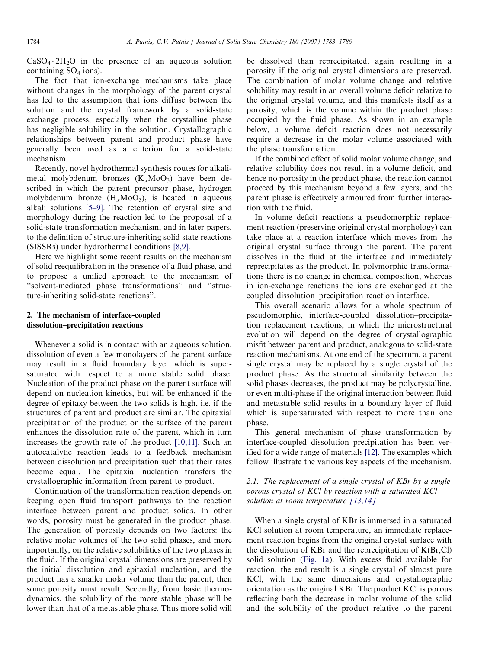$CaSO_4 \tcdot 2H_2O$  in the presence of an aqueous solution containing  $SO_4$  ions).

The fact that ion-exchange mechanisms take place without changes in the morphology of the parent crystal has led to the assumption that ions diffuse between the solution and the crystal framework by a solid-state exchange process, especially when the crystalline phase has negligible solubility in the solution. Crystallographic relationships between parent and product phase have generally been used as a criterion for a solid-state mechanism.

Recently, novel hydrothermal synthesis routes for alkalimetal molybdenum bronzes  $(K_x MoO_3)$  have been described in which the parent precursor phase, hydrogen molybdenum bronze  $(H_xMoO_3)$ , is heated in aqueous alkali solutions [\[5–9\].](#page-3-0) The retention of crystal size and morphology during the reaction led to the proposal of a solid-state transformation mechanism, and in later papers, to the definition of structure-inheriting solid state reactions (SISSRs) under hydrothermal conditions [\[8,9\]](#page-3-0).

Here we highlight some recent results on the mechanism of solid reequilibration in the presence of a fluid phase, and to propose a unified approach to the mechanism of ''solvent-mediated phase transformations'' and ''structure-inheriting solid-state reactions''.

## 2. The mechanism of interface-coupled dissolution–precipitation reactions

Whenever a solid is in contact with an aqueous solution, dissolution of even a few monolayers of the parent surface may result in a fluid boundary layer which is supersaturated with respect to a more stable solid phase. Nucleation of the product phase on the parent surface will depend on nucleation kinetics, but will be enhanced if the degree of epitaxy between the two solids is high, i.e. if the structures of parent and product are similar. The epitaxial precipitation of the product on the surface of the parent enhances the dissolution rate of the parent, which in turn increases the growth rate of the product [\[10,11\].](#page-3-0) Such an autocatalytic reaction leads to a feedback mechanism between dissolution and precipitation such that their rates become equal. The epitaxial nucleation transfers the crystallographic information from parent to product.

Continuation of the transformation reaction depends on keeping open fluid transport pathways to the reaction interface between parent and product solids. In other words, porosity must be generated in the product phase. The generation of porosity depends on two factors: the relative molar volumes of the two solid phases, and more importantly, on the relative solubilities of the two phases in the fluid. If the original crystal dimensions are preserved by the initial dissolution and epitaxial nucleation, and the product has a smaller molar volume than the parent, then some porosity must result. Secondly, from basic thermodynamics, the solubility of the more stable phase will be lower than that of a metastable phase. Thus more solid will be dissolved than reprecipitated, again resulting in a porosity if the original crystal dimensions are preserved. The combination of molar volume change and relative solubility may result in an overall volume deficit relative to the original crystal volume, and this manifests itself as a porosity, which is the volume within the product phase occupied by the fluid phase. As shown in an example below, a volume deficit reaction does not necessarily require a decrease in the molar volume associated with the phase transformation.

If the combined effect of solid molar volume change, and relative solubility does not result in a volume deficit, and hence no porosity in the product phase, the reaction cannot proceed by this mechanism beyond a few layers, and the parent phase is effectively armoured from further interaction with the fluid.

In volume deficit reactions a pseudomorphic replacement reaction (preserving original crystal morphology) can take place at a reaction interface which moves from the original crystal surface through the parent. The parent dissolves in the fluid at the interface and immediately reprecipitates as the product. In polymorphic transformations there is no change in chemical composition, whereas in ion-exchange reactions the ions are exchanged at the coupled dissolution–precipitation reaction interface.

This overall scenario allows for a whole spectrum of pseudomorphic, interface-coupled dissolution–precipitation replacement reactions, in which the microstructural evolution will depend on the degree of crystallographic misfit between parent and product, analogous to solid-state reaction mechanisms. At one end of the spectrum, a parent single crystal may be replaced by a single crystal of the product phase. As the structural similarity between the solid phases decreases, the product may be polycrystalline, or even multi-phase if the original interaction between fluid and metastable solid results in a boundary layer of fluid which is supersaturated with respect to more than one phase.

This general mechanism of phase transformation by interface-coupled dissolution–precipitation has been verified for a wide range of materials [\[12\].](#page-3-0) The examples which follow illustrate the various key aspects of the mechanism.

## 2.1. The replacement of a single crystal of KBr by a single porous crystal of KCl by reaction with a saturated KCl solution at room temperature [\[13,14\]](#page-3-0)

When a single crystal of KBr is immersed in a saturated KCl solution at room temperature, an immediate replacement reaction begins from the original crystal surface with the dissolution of KBr and the reprecipitation of  $K(Br,Cl)$ solid solution ([Fig. 1a\)](#page-2-0). With excess fluid available for reaction, the end result is a single crystal of almost pure KCl, with the same dimensions and crystallographic orientation as the original KBr. The product KCl is porous reflecting both the decrease in molar volume of the solid and the solubility of the product relative to the parent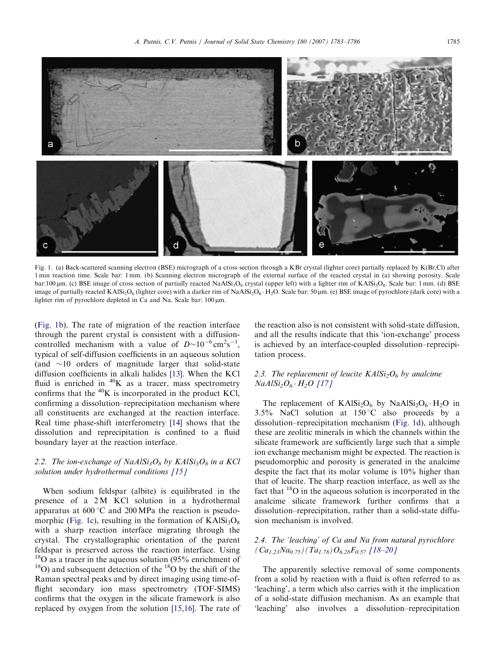<span id="page-2-0"></span>

Fig. 1. (a) Back-scattered scanning electron (BSE) micrograph of a cross section through a KBr crystal (lighter core) partially replaced by K(Br,Cl) after 1 min reaction time. Scale bar: 1 mm. (b) Scanning electron micrograph of the external surface of the reacted crystal in (a) showing porosity. Scale bar:100 um. (c) BSE image of cross section of partially reacted NaAlSi<sub>3</sub>O<sub>8</sub> crystal (upper left) with a lighter rim of KAlSi<sub>3</sub>O<sub>8</sub>. Scale bar: 1 mm. (d) BSE image of partially reacted KAlSi<sub>2</sub>O<sub>6</sub> (lighter core) with a darker rim of NaAlSi<sub>2</sub>O<sub>6</sub> · H<sub>2</sub>O. Scale bar: 50 µm. (e) BSE image of pyrochlore (dark core) with a lighter rim of pyrochlore depleted in Ca and Na. Scale bar:  $100 \,\mu m$ .

(Fig. 1b). The rate of migration of the reaction interface through the parent crystal is consistent with a diffusioncontrolled mechanism with a value of  $D \sim 10^{-6} \text{ cm}^2 \text{s}^{-1}$ , typical of self-diffusion coefficients in an aqueous solution (and  $\sim$ 10 orders of magnitude larger that solid-state diffusion coefficients in alkali halides [\[13\]](#page-3-0). When the KCl fluid is enriched in  ${}^{40}$ K as a tracer, mass spectrometry confirms that the  ${}^{40}$ K is incorporated in the product KCl, confirming a dissolution–reprecipitation mechanism where all constituents are exchanged at the reaction interface. Real time phase-shift interferometry [\[14\]](#page-3-0) shows that the dissolution and reprecipitation is confined to a fluid boundary layer at the reaction interface.

# 2.2. The ion-exchange of NaAlSi<sub>3</sub>O<sub>8</sub> by KAlSi<sub>3</sub>O<sub>8</sub> in a KCl solution under hydrothermal conditions [\[15\]](#page-3-0)

When sodium feldspar (albite) is equilibrated in the presence of a 2M KCl solution in a hydrothermal apparatus at  $600^{\circ}$ C and  $200$  MPa the reaction is pseudomorphic (Fig. 1c), resulting in the formation of  $KAISi<sub>3</sub>O<sub>8</sub>$ with a sharp reaction interface migrating through the crystal. The crystallographic orientation of the parent feldspar is preserved across the reaction interface. Using  $18$ O as a tracer in the aqueous solution (95% enrichment of  $18$ O) and subsequent detection of the  $18$ O by the shift of the Raman spectral peaks and by direct imaging using time-offlight secondary ion mass spectrometry (TOF-SIMS) confirms that the oxygen in the silicate framework is also replaced by oxygen from the solution [\[15,16\].](#page-3-0) The rate of the reaction also is not consistent with solid-state diffusion, and all the results indicate that this 'ion-exchange' process is achieved by an interface-coupled dissolution–reprecipitation process.

# 2.3. The replacement of leucite  $KAISi<sub>2</sub>O<sub>6</sub>$  by analcime  $NaAlSi<sub>2</sub>O<sub>6</sub> · H<sub>2</sub>O [17]$  $NaAlSi<sub>2</sub>O<sub>6</sub> · H<sub>2</sub>O [17]$

The replacement of  $KAISi<sub>2</sub>O<sub>6</sub>$  by  $NaAISi<sub>2</sub>O<sub>6</sub> \cdot H<sub>2</sub>O$  in  $3.5\%$  NaCl solution at  $150\degree$ C also proceeds by a dissolution–reprecipitation mechanism (Fig. 1d), although these are zeolitic minerals in which the channels within the silicate framework are sufficiently large such that a simple ion exchange mechanism might be expected. The reaction is pseudomorphic and porosity is generated in the analcime despite the fact that its molar volume is 10% higher than that of leucite. The sharp reaction interface, as well as the fact that  $18$ O in the aqueous solution is incorporated in the analcime silicate framework further confirms that a dissolution–reprecipitation, rather than a solid-state diffusion mechanism is involved.

## 2.4. The 'leaching' of Ca and Na from natural pyrochlore  $(Ca_{1,23}Na_{0,75})$  $(Ta_{1,78})O_{6,28}F_{0,57}$  [\[18–20\]](#page-3-0)

The apparently selective removal of some components from a solid by reaction with a fluid is often referred to as 'leaching', a term which also carries with it the implication of a solid-state diffusion mechanism. As an example that 'leaching' also involves a dissolution–reprecipitation